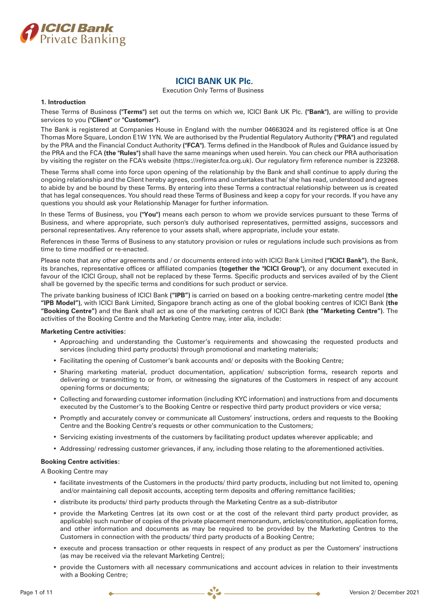

# **ICICI BANK UK Plc.**

Execution Only Terms of Business

# **1. Introduction**

These Terms of Business **("Terms")** set out the terms on which we, ICICI Bank UK Plc. **("Bank")**, are willing to provide services to you **("Client"** or **"Customer")**.

The Bank is registered at Companies House in England with the number 04663024 and its registered office is at One Thomas More Square, London E1W 1YN. We are authorised by the Prudential Regulatory Authority **("PRA")** and regulated by the PRA and the Financial Conduct Authority **("FCA")**. Terms defined in the Handbook of Rules and Guidance issued by the PRA and the FCA **(the "Rules")** shall have the same meanings when used herein. You can check our PRA authorisation by visiting the register on the FCA's website (https://register.fca.org.uk). Our regulatory firm reference number is 223268.

These Terms shall come into force upon opening of the relationship by the Bank and shall continue to apply during the ongoing relationship and the Client hereby agrees, confirms and undertakes that he/ she has read, understood and agrees to abide by and be bound by these Terms. By entering into these Terms a contractual relationship between us is created that has legal consequences. You should read these Terms of Business and keep a copy for your records. If you have any questions you should ask your Relationship Manager for further information.

In these Terms of Business, you **("You")** means each person to whom we provide services pursuant to these Terms of Business, and where appropriate, such person's duly authorised representatives, permitted assigns, successors and personal representatives. Any reference to your assets shall, where appropriate, include your estate.

References in these Terms of Business to any statutory provision or rules or regulations include such provisions as from time to time modified or re-enacted.

Please note that any other agreements and / or documents entered into with ICICI Bank Limited **("ICICI Bank")**, the Bank, its branches, representative offices or affiliated companies **(together the "ICICI Group")**, or any document executed in favour of the ICICI Group, shall not be replaced by these Terms. Specific products and services availed of by the Client shall be governed by the specific terms and conditions for such product or service.

The private banking business of ICICI Bank **("IPB")** is carried on based on a booking centre-marketing centre model **(the "IPB Model")**, with ICICI Bank Limited, Singapore branch acting as one of the global booking centres of ICICI Bank **(the "Booking Centre")** and the Bank shall act as one of the marketing centres of ICICI Bank **(the "Marketing Centre")**. The activities of the Booking Centre and the Marketing Centre may, inter alia, include:

# **Marketing Centre activities:**

- Approaching and understanding the Customer's requirements and showcasing the requested products and services (including third party products) through promotional and marketing materials;
- Facilitating the opening of Customer's bank accounts and/ or deposits with the Booking Centre;
- Sharing marketing material, product documentation, application/ subscription forms, research reports and delivering or transmitting to or from, or witnessing the signatures of the Customers in respect of any account opening forms or documents;
- Collecting and forwarding customer information (including KYC information) and instructions from and documents executed by the Customer's to the Booking Centre or respective third party product providers or vice versa;
- Promptly and accurately convey or communicate all Customers' instructions, orders and requests to the Booking Centre and the Booking Centre's requests or other communication to the Customers;
- Servicing existing investments of the customers by facilitating product updates wherever applicable; and
- Addressing/ redressing customer grievances, if any, including those relating to the aforementioned activities.

# **Booking Centre activities:**

A Booking Centre may

- facilitate investments of the Customers in the products/ third party products, including but not limited to, opening and/or maintaining call deposit accounts, accepting term deposits and offering remittance facilities;
- distribute its products/ third party products through the Marketing Centre as a sub-distributor
- provide the Marketing Centres (at its own cost or at the cost of the relevant third party product provider, as applicable) such number of copies of the private placement memorandum, articles/constitution, application forms, and other information and documents as may be required to be provided by the Marketing Centres to the Customers in connection with the products/ third party products of a Booking Centre;
- execute and process transaction or other requests in respect of any product as per the Customers' instructions (as may be received via the relevant Marketing Centre);
- provide the Customers with all necessary communications and account advices in relation to their investments with a Booking Centre;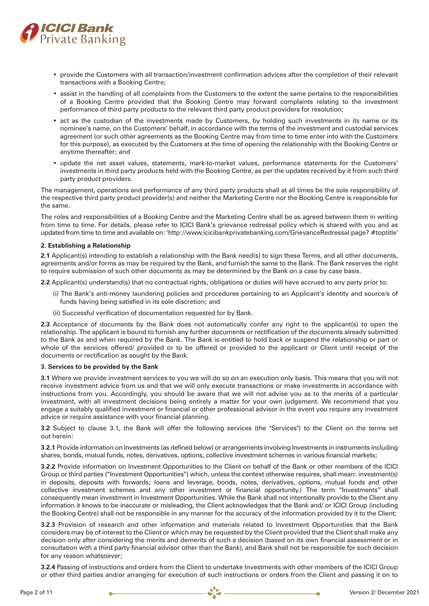

- provide the Customers with all transaction/investment confirmation advices after the completion of their relevant transactions with a Booking Centre;
- assist in the handling of all complaints from the Customers to the extent the same pertains to the responsibilities of a Booking Centre provided that the Booking Centre may forward complaints relating to the investment performance of third party products to the relevant third party product providers for resolution;
- act as the custodian of the investments made by Customers, by holding such investments in its name or its nominee's name, on the Customers' behalf, in accordance with the terms of the investment and custodial services agreement (or such other agreements as the Booking Centre may from time to time enter into with the Customers for this purpose), as executed by the Customers at the time of opening the relationship with the Booking Centre or anytime thereafter; and
- update the net asset values, statements, mark-to-market values, performance statements for the Customers' investments in third party products held with the Booking Centre, as per the updates received by it from such third party product providers.

The management, operations and performance of any third party products shall at all times be the sole responsibility of the respective third party product provider(s) and neither the Marketing Centre nor the Booking Centre is responsible for the same.

The roles and responsibilities of a Booking Centre and the Marketing Centre shall be as agreed between them in writing from time to time. For details, please refer to ICICI Bank's grievance redressal policy which is shared with you and as updated from time to time and available on:'http://www.icicibankprivatebanking.com/GrievanceRedressal.page? #toptitle'

# **2. Establishing a Relationship**

**2.1** Applicant(s) intending to establish a relationship with the Bank need(s) to sign these Terms, and all other documents, agreements and/or forms as may be required by the Bank, and furnish the same to the Bank. The Bank reserves the right to require submission of such other documents as may be determined by the Bank on a case by case basis.

**2.2** Applicant(s) understand(s) that no contractual rights, obligations or duties will have accrued to any party prior to:

- (i) The Bank's anti-money laundering policies and procedures pertaining to an Applicant's identity and source/s of funds having being satisfied in its sole discretion; and
- (ii) Successful verification of documentation requested for by Bank.

**2.3** Acceptance of documents by the Bank does not automatically confer any right to the applicant(s) to open the relationship. The applicant is bound to furnish any further documents or rectification of the documents already submitted to the Bank as and when required by the Bank. The Bank is entitled to hold back or suspend the relationship or part or whole of the services offered/ provided or to be offered or provided to the applicant or Client until receipt of the documents or rectification as sought by the Bank.

# **3. Services to be provided by the Bank**

**3.1** Where we provide investment services to you we will do so on an execution only basis. This means that you will not receive investment advice from us and that we will only execute transactions or make investments in accordance with instructions from you. Accordingly, you should be aware that we will not advise you as to the merits of a particular investment, with all investment decisions being entirely a matter for your own judgement. We recommend that you engage a suitably qualified investment or financial or other professional advisor in the event you require any investment advice or require assistance with your financial planning.

**3.2** Subject to clause 3.1, the Bank will offer the following services (the "Services") to the Client on the terms set out herein:

**3.2.1** Provide information on Investments (as defined below) or arrangements involving Investments in instruments including shares, bonds, mutual funds, notes, derivatives, options, collective investment schemes in various financial markets;

**3.2.2** Provide information on Investment Opportunities to the Client on behalf of the Bank or other members of the ICICI Group or third parties ("Investment Opportunities") which, unless the context otherwise requires, shall mean: investment(s) in deposits, deposits with forwards; loans and leverage, bonds, notes, derivatives, options, mutual funds and other collective investment schemes and any other investment or financial opportunity.) The term "Investments" shall consequently mean investment in Investment Opportunities. While the Bank shall not intentionally provide to the Client any information it knows to be inaccurate or misleading, the Client acknowledges that the Bank and/ or ICICI Group (including the Booking Centre) shall not be responsible in any manner for the accuracy of the information provided by it to the Client;

**3.2.3** Provision of research and other information and materials related to Investment Opportunities that the Bank considers may be of interest to the Client or which may be requested by the Client provided that the Client shall make any decision only after considering the merits and demerits of such a decision (based on its own financial assessment or in consultation with a third party financial advisor other than the Bank), and Bank shall not be responsible for such decision for any reason whatsoever;

**3.2.4** Passing of instructions and orders from the Client to undertake Investments with other members of the ICICI Group or other third parties and/or arranging for execution of such instructions or orders from the Client and passing it on to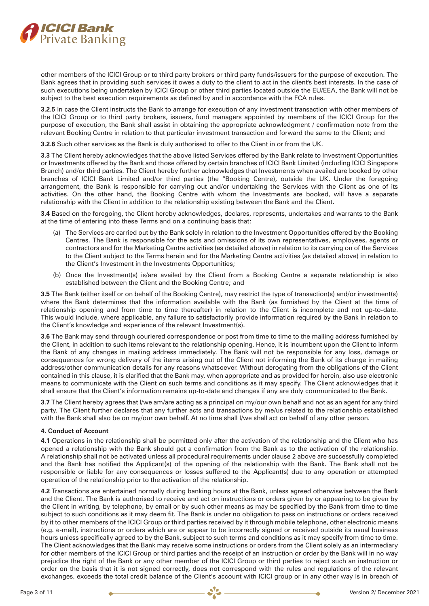

other members of the ICICI Group or to third party brokers or third party funds/issuers for the purpose of execution. The Bank agrees that in providing such services it owes a duty to the client to act in the client's best interests. In the case of such executions being undertaken by ICICI Group or other third parties located outside the EU/EEA, the Bank will not be subject to the best execution requirements as defined by and in accordance with the FCA rules.

**3.2.5** In case the Client instructs the Bank to arrange for execution of any investment transaction with other members of the ICICI Group or to third party brokers, issuers, fund managers appointed by members of the ICICI Group for the purpose of execution, the Bank shall assist in obtaining the appropriate acknowledgment / confirmation note from the relevant Booking Centre in relation to that particular investment transaction and forward the same to the Client; and

**3.2.6** Such other services as the Bank is duly authorised to offer to the Client in or from the UK.

**3.3** The Client hereby acknowledges that the above listed Services offered by the Bank relate to Investment Opportunities or Investments offered by the Bank and those offered by certain branches of ICICI Bank Limited (including ICICI Singapore Branch) and/or third parties. The Client hereby further acknowledges that Investments when availed are booked by other branches of ICICI Bank Limited and/or third parties (the "Booking Centre), outside the UK. Under the foregoing arrangement, the Bank is responsible for carrying out and/or undertaking the Services with the Client as one of its activities. On the other hand, the Booking Centre with whom the Investments are booked, will have a separate relationship with the Client in addition to the relationship existing between the Bank and the Client.

**3.4** Based on the foregoing, the Client hereby acknowledges, declares, represents, undertakes and warrants to the Bank at the time of entering into these Terms and on a continuing basis that:

- (a) The Services are carried out by the Bank solely in relation to the Investment Opportunities offered by the Booking Centres. The Bank is responsible for the acts and omissions of its own representatives, employees, agents or contractors and for the Marketing Centre activities (as detailed above) in relation to its carrying on of the Services to the Client subject to the Terms herein and for the Marketing Centre activities (as detailed above) in relation to the Client's Investment in the Investments Opportunities;
- (b) Once the Investment(s) is/are availed by the Client from a Booking Centre a separate relationship is also established between the Client and the Booking Centre; and

**3.5** The Bank (either itself or on behalf of the Booking Centre), may restrict the type of transaction(s) and/or investment(s) where the Bank determines that the information available with the Bank (as furnished by the Client at the time of relationship opening and from time to time thereafter) in relation to the Client is incomplete and not up-to-date. This would include, where applicable, any failure to satisfactorily provide information required by the Bank in relation to the Client's knowledge and experience of the relevant Investment(s).

**3.6** The Bank may send through couriered correspondence or post from time to time to the mailing address furnished by the Client, in addition to such items relevant to the relationship opening. Hence, it is incumbent upon the Client to inform the Bank of any changes in mailing address immediately. The Bank will not be responsible for any loss, damage or consequences for wrong delivery of the items arising out of the Client not informing the Bank of its change in mailing address/other communication details for any reasons whatsoever. Without derogating from the obligations of the Client contained in this clause, it is clarified that the Bank may, when appropriate and as provided for herein, also use electronic means to communicate with the Client on such terms and conditions as it may specify. The Client acknowledges that it shall ensure that the Client's information remains up-to-date and changes if any are duly communicated to the Bank.

**3.7** The Client hereby agrees that I/we am/are acting as a principal on my/our own behalf and not as an agent for any third party. The Client further declares that any further acts and transactions by me/us related to the relationship established with the Bank shall also be on my/our own behalf. At no time shall I/we shall act on behalf of any other person.

# **4. Conduct of Account**

**4.1** Operations in the relationship shall be permitted only after the activation of the relationship and the Client who has opened a relationship with the Bank should get a confirmation from the Bank as to the activation of the relationship. A relationship shall not be activated unless all procedural requirements under clause 2 above are successfully completed and the Bank has notified the Applicant(s) of the opening of the relationship with the Bank. The Bank shall not be responsible or liable for any consequences or losses suffered to the Applicant(s) due to any operation or attempted operation of the relationship prior to the activation of the relationship.

**4.2** Transactions are entertained normally during banking hours at the Bank, unless agreed otherwise between the Bank and the Client. The Bank is authorised to receive and act on instructions or orders given by or appearing to be given by the Client in writing, by telephone, by email or by such other means as may be specified by the Bank from time to time subject to such conditions as it may deem fit. The Bank is under no obligation to pass on instructions or orders received by it to other members of the ICICI Group or third parties received by it through mobile telephone, other electronic means (e.g. e-mail), instructions or orders which are or appear to be incorrectly signed or received outside its usual business hours unless specifically agreed to by the Bank, subject to such terms and conditions as it may specify from time to time. The Client acknowledges that the Bank may receive some instructions or orders from the Client solely as an intermediary for other members of the ICICI Group or third parties and the receipt of an instruction or order by the Bank will in no way prejudice the right of the Bank or any other member of the ICICI Group or third parties to reject such an instruction or order on the basis that it is not signed correctly, does not correspond with the rules and regulations of the relevant exchanges, exceeds the total credit balance of the Client's account with ICICI group or in any other way is in breach of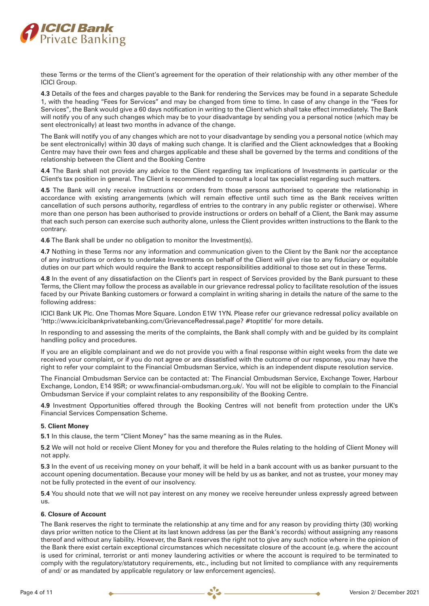

these Terms or the terms of the Client's agreement for the operation of their relationship with any other member of the ICICI Group.

**4.3** Details of the fees and charges payable to the Bank for rendering the Services may be found in a separate Schedule 1, with the heading "Fees for Services" and may be changed from time to time. In case of any change in the "Fees for Services", the Bank would give a 60 days notification in writing to the Client which shall take effect immediately. The Bank will notify you of any such changes which may be to your disadvantage by sending you a personal notice (which may be sent electronically) at least two months in advance of the change.

The Bank will notify you of any changes which are not to your disadvantage by sending you a personal notice (which may be sent electronically) within 30 days of making such change. It is clarified and the Client acknowledges that a Booking Centre may have their own fees and charges applicable and these shall be governed by the terms and conditions of the relationship between the Client and the Booking Centre

**4.4** The Bank shall not provide any advice to the Client regarding tax implications of Investments in particular or the Client's tax position in general. The Client is recommended to consult a local tax specialist regarding such matters.

**4.5** The Bank will only receive instructions or orders from those persons authorised to operate the relationship in accordance with existing arrangements (which will remain effective until such time as the Bank receives written cancellation of such persons authority, regardless of entries to the contrary in any public register or otherwise). Where more than one person has been authorised to provide instructions or orders on behalf of a Client, the Bank may assume that each such person can exercise such authority alone, unless the Client provides written instructions to the Bank to the contrary.

**4.6** The Bank shall be under no obligation to monitor the Investment(s).

**4.7** Nothing in these Terms nor any information and communication given to the Client by the Bank nor the acceptance of any instructions or orders to undertake Investments on behalf of the Client will give rise to any fiduciary or equitable duties on our part which would require the Bank to accept responsibilities additional to those set out in these Terms.

**4.8** In the event of any dissatisfaction on the Client's part in respect of Services provided by the Bank pursuant to these Terms, the Client may follow the process as available in our grievance redressal policy to facilitate resolution of the issues faced by our Private Banking customers or forward a complaint in writing sharing in details the nature of the same to the following address:

ICICI Bank UK Plc. One Thomas More Square. London E1W 1YN. Please refer our grievance redressal policy available on 'http://www.icicibankprivatebanking.com/GrievanceRedressal.page? #toptitle' for more details.

In responding to and assessing the merits of the complaints, the Bank shall comply with and be guided by its complaint handling policy and procedures.

If you are an eligible complainant and we do not provide you with a final response within eight weeks from the date we received your complaint, or if you do not agree or are dissatisfied with the outcome of our response, you may have the right to refer your complaint to the Financial Ombudsman Service, which is an independent dispute resolution service.

The Financial Ombudsman Service can be contacted at: The Financial Ombudsman Service, Exchange Tower, Harbour Exchange, London, E14 9SR; or www.financial-ombudsman.org.uk/. You will not be eligible to complain to the Financial Ombudsman Service if your complaint relates to any responsibility of the Booking Centre.

**4.9** Investment Opportunities offered through the Booking Centres will not benefit from protection under the UK's Financial Services Compensation Scheme.

# **5. Client Money**

**5.1** In this clause, the term "Client Money" has the same meaning as in the Rules.

**5.2** We will not hold or receive Client Money for you and therefore the Rules relating to the holding of Client Money will not apply.

**5.3** In the event of us receiving money on your behalf, it will be held in a bank account with us as banker pursuant to the account opening documentation. Because your money will be held by us as banker, and not as trustee, your money may not be fully protected in the event of our insolvency.

**5.4** You should note that we will not pay interest on any money we receive hereunder unless expressly agreed between us.

# **6. Closure of Account**

The Bank reserves the right to terminate the relationship at any time and for any reason by providing thirty (30) working days prior written notice to the Client at its last known address (as per the Bank's records) without assigning any reasons thereof and without any liability. However, the Bank reserves the right not to give any such notice where in the opinion of the Bank there exist certain exceptional circumstances which necessitate closure of the account (e.g. where the account is used for criminal, terrorist or anti money laundering activities or where the account is required to be terminated to comply with the regulatory/statutory requirements, etc., including but not limited to compliance with any requirements of and/ or as mandated by applicable regulatory or law enforcement agencies).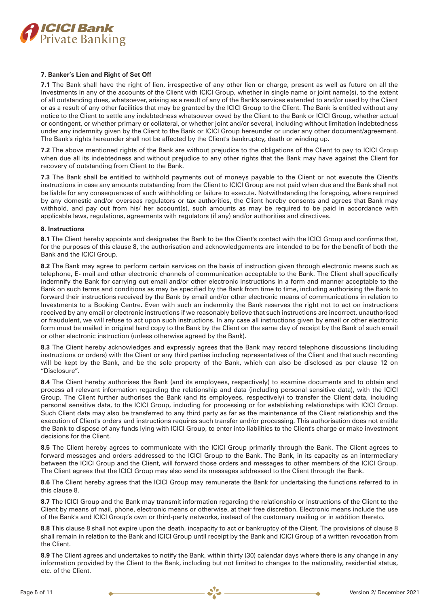

# **7. Banker's Lien and Right of Set Off**

**7.1** The Bank shall have the right of lien, irrespective of any other lien or charge, present as well as future on all the Investments in any of the accounts of the Client with ICICI Group, whether in single name or joint name(s), to the extent of all outstanding dues, whatsoever, arising as a result of any of the Bank's services extended to and/or used by the Client or as a result of any other facilities that may be granted by the ICICI Group to the Client. The Bank is entitled without any notice to the Client to settle any indebtedness whatsoever owed by the Client to the Bank or ICICI Group, whether actual or contingent, or whether primary or collateral, or whether joint and/or several, including without limitation indebtedness under any indemnity given by the Client to the Bank or ICICI Group hereunder or under any other document/agreement. The Bank's rights hereunder shall not be affected by the Client's bankruptcy, death or winding up.

**7.2** The above mentioned rights of the Bank are without prejudice to the obligations of the Client to pay to ICICI Group when due all its indebtedness and without prejudice to any other rights that the Bank may have against the Client for recovery of outstanding from Client to the Bank.

**7.3** The Bank shall be entitled to withhold payments out of moneys payable to the Client or not execute the Client's instructions in case any amounts outstanding from the Client to ICICI Group are not paid when due and the Bank shall not be liable for any consequences of such withholding or failure to execute. Notwithstanding the foregoing, where required by any domestic and/or overseas regulators or tax authorities, the Client hereby consents and agrees that Bank may withhold, and pay out from his/ her account(s), such amounts as may be required to be paid in accordance with applicable laws, regulations, agreements with regulators (if any) and/or authorities and directives.

# **8. Instructions**

**8.1** The Client hereby appoints and designates the Bank to be the Client's contact with the ICICI Group and confirms that, for the purposes of this clause 8, the authorisation and acknowledgements are intended to be for the benefit of both the Bank and the ICICI Group.

**8.2** The Bank may agree to perform certain services on the basis of instruction given through electronic means such as telephone, E- mail and other electronic channels of communication acceptable to the Bank. The Client shall specifically indemnify the Bank for carrying out email and/or other electronic instructions in a form and manner acceptable to the Bank on such terms and conditions as may be specified by the Bank from time to time, including authorising the Bank to forward their instructions received by the Bank by email and/or other electronic means of communications in relation to Investments to a Booking Centre. Even with such an indemnity the Bank reserves the right not to act on instructions received by any email or electronic instructions if we reasonably believe that such instructions are incorrect, unauthorised or fraudulent, we will refuse to act upon such instructions. In any case all instructions given by email or other electronic form must be mailed in original hard copy to the Bank by the Client on the same day of receipt by the Bank of such email or other electronic instruction (unless otherwise agreed by the Bank).

**8.3** The Client hereby acknowledges and expressly agrees that the Bank may record telephone discussions (including instructions or orders) with the Client or any third parties including representatives of the Client and that such recording will be kept by the Bank, and be the sole property of the Bank, which can also be disclosed as per clause 12 on "Disclosure".

**8.4** The Client hereby authorises the Bank (and its employees, respectively) to examine documents and to obtain and process all relevant information regarding the relationship and data (including personal sensitive data), with the ICICI Group. The Client further authorises the Bank (and its employees, respectively) to transfer the Client data, including personal sensitive data, to the ICICI Group, including for processing or for establishing relationships with ICICI Group. Such Client data may also be transferred to any third party as far as the maintenance of the Client relationship and the execution of Client's orders and instructions requires such transfer and/or processing. This authorisation does not entitle the Bank to dispose of any funds lying with ICICI Group, to enter into liabilities to the Client's charge or make investment decisions for the Client.

**8.5** The Client hereby agrees to communicate with the ICICI Group primarily through the Bank. The Client agrees to forward messages and orders addressed to the ICICI Group to the Bank. The Bank, in its capacity as an intermediary between the ICICI Group and the Client, will forward those orders and messages to other members of the ICICI Group. The Client agrees that the ICICI Group may also send its messages addressed to the Client through the Bank.

**8.6** The Client hereby agrees that the ICICI Group may remunerate the Bank for undertaking the functions referred to in this clause 8.

**8.7** The ICICI Group and the Bank may transmit information regarding the relationship or instructions of the Client to the Client by means of mail, phone, electronic means or otherwise, at their free discretion. Electronic means include the use of the Bank's and ICICI Group's own or third-party networks, instead of the customary mailing or in addition thereto.

**8.8** This clause 8 shall not expire upon the death, incapacity to act or bankruptcy of the Client. The provisions of clause 8 shall remain in relation to the Bank and ICICI Group until receipt by the Bank and ICICI Group of a written revocation from the Client.

**8.9** The Client agrees and undertakes to notify the Bank, within thirty (30) calendar days where there is any change in any information provided by the Client to the Bank, including but not limited to changes to the nationality, residential status, etc. of the Client.

 $e^r$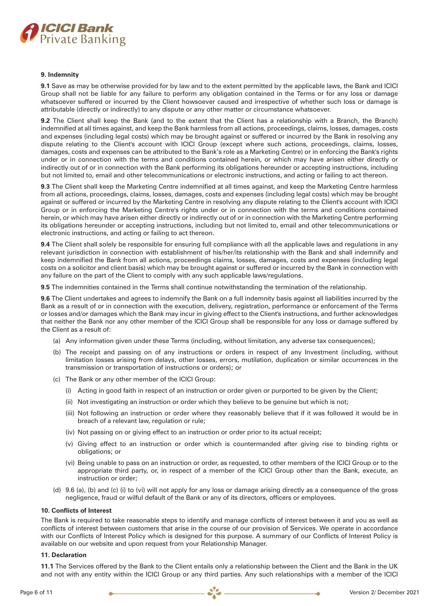

### **9. Indemnity**

**9.1** Save as may be otherwise provided for by law and to the extent permitted by the applicable laws, the Bank and ICICI Group shall not be liable for any failure to perform any obligation contained in the Terms or for any loss or damage whatsoever suffered or incurred by the Client howsoever caused and irrespective of whether such loss or damage is attributable (directly or indirectly) to any dispute or any other matter or circumstance whatsoever.

**9.2** The Client shall keep the Bank (and to the extent that the Client has a relationship with a Branch, the Branch) indemnified at all times against, and keep the Bank harmless from all actions, proceedings, claims, losses, damages, costs and expenses (including legal costs) which may be brought against or suffered or incurred by the Bank in resolving any dispute relating to the Client's account with ICICI Group (except where such actions, proceedings, claims, losses, damages, costs and expenses can be attributed to the Bank's role as a Marketing Centre) or in enforcing the Bank's rights under or in connection with the terms and conditions contained herein, or which may have arisen either directly or indirectly out of or in connection with the Bank performing its obligations hereunder or accepting instructions, including but not limited to, email and other telecommunications or electronic instructions, and acting or failing to act thereon.

**9.3** The Client shall keep the Marketing Centre indemnified at all times against, and keep the Marketing Centre harmless from all actions, proceedings, claims, losses, damages, costs and expenses (including legal costs) which may be brought against or suffered or incurred by the Marketing Centre in resolving any dispute relating to the Client's account with ICICI Group or in enforcing the Marketing Centre's rights under or in connection with the terms and conditions contained herein, or which may have arisen either directly or indirectly out of or in connection with the Marketing Centre performing its obligations hereunder or accepting instructions, including but not limited to, email and other telecommunications or electronic instructions, and acting or failing to act thereon.

**9.4** The Client shall solely be responsible for ensuring full compliance with all the applicable laws and regulations in any relevant jurisdiction in connection with establishment of his/her/its relationship with the Bank and shall indemnify and keep indemnified the Bank from all actions, proceedings claims, losses, damages, costs and expenses (including legal costs on a solicitor and client basis) which may be brought against or suffered or incurred by the Bank in connection with any failure on the part of the Client to comply with any such applicable laws/regulations.

**9.5** The indemnities contained in the Terms shall continue notwithstanding the termination of the relationship.

**9.6** The Client undertakes and agrees to indemnify the Bank on a full indemnity basis against all liabilities incurred by the Bank as a result of or in connection with the execution, delivery, registration, performance or enforcement of the Terms or losses and/or damages which the Bank may incur in giving effect to the Client's instructions, and further acknowledges that neither the Bank nor any other member of the ICICI Group shall be responsible for any loss or damage suffered by the Client as a result of:

- (a) Any information given under these Terms (including, without limitation, any adverse tax consequences);
- (b) The receipt and passing on of any instructions or orders in respect of any Investment (including, without limitation losses arising from delays, other losses, errors, mutilation, duplication or similar occurrences in the transmission or transportation of instructions or orders); or
- (c) The Bank or any other member of the ICICI Group:
	- (i) Acting in good faith in respect of an instruction or order given or purported to be given by the Client;
	- (ii) Not investigating an instruction or order which they believe to be genuine but which is not;
	- (iii) Not following an instruction or order where they reasonably believe that if it was followed it would be in breach of a relevant law, regulation or rule;
	- (iv) Not passing on or giving effect to an instruction or order prior to its actual receipt;
	- (v) Giving effect to an instruction or order which is countermanded after giving rise to binding rights or obligations; or
	- (vi) Being unable to pass on an instruction or order, as requested, to other members of the ICICI Group or to the appropriate third party, or, in respect of a member of the ICICI Group other than the Bank, execute, an instruction or order;
- (d) 9.6 (a), (b) and (c) (i) to (vi) will not apply for any loss or damage arising directly as a consequence of the gross negligence, fraud or wilful default of the Bank or any of its directors, officers or employees.

#### **10. Conflicts of Interest**

The Bank is required to take reasonable steps to identify and manage conflicts of interest between it and you as well as conflicts of interest between customers that arise in the course of our provision of Services. We operate in accordance with our Conflicts of Interest Policy which is designed for this purpose. A summary of our Conflicts of Interest Policy is available on our website and upon request from your Relationship Manager.

### **11. Declaration**

**11.1** The Services offered by the Bank to the Client entails only a relationship between the Client and the Bank in the UK and not with any entity within the ICICI Group or any third parties. Any such relationships with a member of the ICICI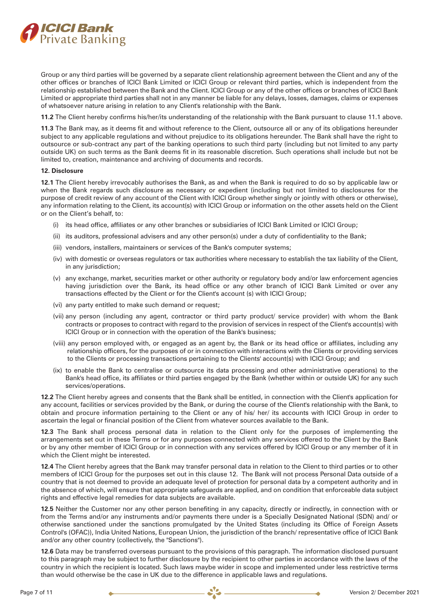

Group or any third parties will be governed by a separate client relationship agreement between the Client and any of the other offices or branches of ICICI Bank Limited or ICICI Group or relevant third parties, which is independent from the relationship established between the Bank and the Client. ICICI Group or any of the other offices or branches of ICICI Bank Limited or appropriate third parties shall not in any manner be liable for any delays, losses, damages, claims or expenses of whatsoever nature arising in relation to any Client's relationship with the Bank.

**11.2** The Client hereby confirms his/her/its understanding of the relationship with the Bank pursuant to clause 11.1 above.

**11.3** The Bank may, as it deems fit and without reference to the Client, outsource all or any of its obligations hereunder subject to any applicable regulations and without prejudice to its obligations hereunder. The Bank shall have the right to outsource or sub-contract any part of the banking operations to such third party (including but not limited to any party outside UK) on such terms as the Bank deems fit in its reasonable discretion. Such operations shall include but not be limited to, creation, maintenance and archiving of documents and records.

### **12. Disclosure**

**12.1** The Client hereby irrevocably authorises the Bank, as and when the Bank is required to do so by applicable law or when the Bank regards such disclosure as necessary or expedient (including but not limited to disclosures for the purpose of credit review of any account of the Client with ICICI Group whether singly or jointly with others or otherwise), any information relating to the Client, its account(s) with ICICI Group or information on the other assets held on the Client or on the Client's behalf, to:

- (i) its head office, affiliates or any other branches or subsidiaries of ICICI Bank Limited or ICICI Group;
- (ii) its auditors, professional advisers and any other person(s) under a duty of confidentiality to the Bank;
- (iii) vendors, installers, maintainers or services of the Bank's computer systems;
- (iv) with domestic or overseas regulators or tax authorities where necessary to establish the tax liability of the Client, in any jurisdiction;
- (v) any exchange, market, securities market or other authority or regulatory body and/or law enforcement agencies having jurisdiction over the Bank, its head office or any other branch of ICICI Bank Limited or over any transactions effected by the Client or for the Client's account (s) with ICICI Group;
- (vi) any party entitled to make such demand or request;
- (vii) any person (including any agent, contractor or third party product/ service provider) with whom the Bank contracts or proposes to contract with regard to the provision of services in respect of the Client's account(s) with ICICI Group or in connection with the operation of the Bank's business;
- (viii) any person employed with, or engaged as an agent by, the Bank or its head office or affiliates, including any relationship officers, for the purposes of or in connection with interactions with the Clients or providing services to the Clients or processing transactions pertaining to the Clients' account(s) with ICICI Group; and
- (ix) to enable the Bank to centralise or outsource its data processing and other administrative operations) to the Bank's head office, its affiliates or third parties engaged by the Bank (whether within or outside UK) for any such services/operations.

**12.2** The Client hereby agrees and consents that the Bank shall be entitled, in connection with the Client's application for any account, facilities or services provided by the Bank, or during the course of the Client's relationship with the Bank, to obtain and procure information pertaining to the Client or any of his/ her/ its accounts with ICICI Group in order to ascertain the legal or financial position of the Client from whatever sources available to the Bank.

**12.3** The Bank shall process personal data in relation to the Client only for the purposes of implementing the arrangements set out in these Terms or for any purposes connected with any services offered to the Client by the Bank or by any other member of ICICI Group or in connection with any services offered by ICICI Group or any member of it in which the Client might be interested.

**12.4** The Client hereby agrees that the Bank may transfer personal data in relation to the Client to third parties or to other members of ICICI Group for the purposes set out in this clause 12. The Bank will not process Personal Data outside of a country that is not deemed to provide an adequate level of protection for personal data by a competent authority and in the absence of which, will ensure that appropriate safeguards are applied, and on condition that enforceable data subject rights and effective legal remedies for data subjects are available.

**12.5** Neither the Customer nor any other person benefiting in any capacity, directly or indirectly, in connection with or from the Terms and/or any instruments and/or payments there under is a Specially Designated National (SDN) and/ or otherwise sanctioned under the sanctions promulgated by the United States (including its Office of Foreign Assets Control's (OFAC)), India United Nations, European Union, the jurisdiction of the branch/ representative office of ICICI Bank and/or any other country (collectively, the "Sanctions").

**12.6** Data may be transferred overseas pursuant to the provisions of this paragraph. The information disclosed pursuant to this paragraph may be subject to further disclosure by the recipient to other parties in accordance with the laws of the country in which the recipient is located. Such laws maybe wider in scope and implemented under less restrictive terms than would otherwise be the case in UK due to the difference in applicable laws and regulations.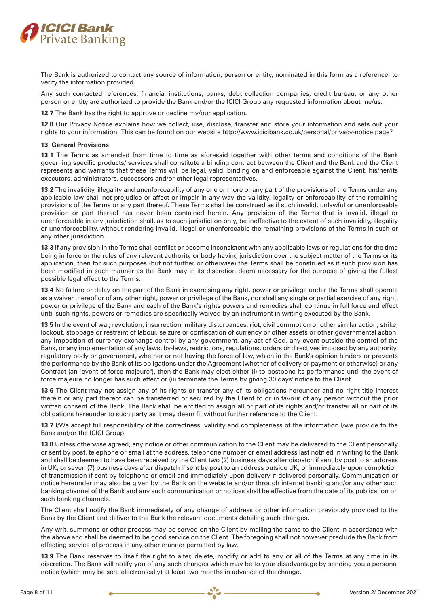

The Bank is authorized to contact any source of information, person or entity, nominated in this form as a reference, to verify the information provided.

Any such contacted references, financial institutions, banks, debt collection companies, credit bureau, or any other person or entity are authorized to provide the Bank and/or the ICICI Group any requested information about me/us.

**12.7** The Bank has the right to approve or decline my/our application.

**12.8** Our Privacy Notice explains how we collect, use, disclose, transfer and store your information and sets out your rights to your information. This can be found on our website http://www.icicibank.co.uk/personal/privacy-notice.page?

### **13. General Provisions**

**13.1** The Terms as amended from time to time as aforesaid together with other terms and conditions of the Bank governing specific products/ services shall constitute a binding contract between the Client and the Bank and the Client represents and warrants that these Terms will be legal, valid, binding on and enforceable against the Client, his/her/its executors, administrators, successors and/or other legal representatives.

**13.2** The invalidity, illegality and unenforceability of any one or more or any part of the provisions of the Terms under any applicable law shall not prejudice or affect or impair in any way the validity, legality or enforceability of the remaining provisions of the Terms or any part thereof. These Terms shall be construed as if such invalid, unlawful or unenforceable provision or part thereof has never been contained herein. Any provision of the Terms that is invalid, illegal or unenforceable in any jurisdiction shall, as to such jurisdiction only, be ineffective to the extent of such invalidity, illegality or unenforceability, without rendering invalid, illegal or unenforceable the remaining provisions of the Terms in such or any other jurisdiction.

**13.3** If any provision in the Terms shall conflict or become inconsistent with any applicable laws or regulations for the time being in force or the rules of any relevant authority or body having jurisdiction over the subject matter of the Terms or its application, then for such purposes (but not further or otherwise) the Terms shall be construed as if such provision has been modified in such manner as the Bank may in its discretion deem necessary for the purpose of giving the fullest possible legal effect to the Terms.

**13.4** No failure or delay on the part of the Bank in exercising any right, power or privilege under the Terms shall operate as a waiver thereof or of any other right, power or privilege of the Bank, nor shall any single or partial exercise of any right, power or privilege of the Bank and each of the Bank's rights powers and remedies shall continue in full force and effect until such rights, powers or remedies are specifically waived by an instrument in writing executed by the Bank.

**13.5** In the event of war, revolution, insurrection, military disturbances, riot, civil commotion or other similar action, strike, lockout, stoppage or restraint of labour, seizure or confiscation of currency or other assets or other governmental action, any imposition of currency exchange control by any government, any act of God, any event outside the control of the Bank, or any implementation of any laws, by-laws, restrictions, regulations, orders or directives imposed by any authority, regulatory body or government, whether or not having the force of law, which in the Bank's opinion hinders or prevents the performance by the Bank of its obligations under the Agreement (whether of delivery or payment or otherwise) or any Contract (an "event of force majeure"), then the Bank may elect either (i) to postpone its performance until the event of force majeure no longer has such effect or (ii) terminate the Terms by giving 30 days' notice to the Client.

**13.6** The Client may not assign any of its rights or transfer any of its obligations hereunder and no right title interest therein or any part thereof can be transferred or secured by the Client to or in favour of any person without the prior written consent of the Bank. The Bank shall be entitled to assign all or part of its rights and/or transfer all or part of its obligations hereunder to such party as it may deem fit without further reference to the Client.

**13.7** I/We accept full responsibility of the correctness, validity and completeness of the information I/we provide to the Bank and/or the ICICI Group.

**13.8** Unless otherwise agreed, any notice or other communication to the Client may be delivered to the Client personally or sent by post, telephone or email at the address, telephone number or email address last notified in writing to the Bank and shall be deemed to have been received by the Client two (2) business days after dispatch if sent by post to an address in UK, or seven (7) business days after dispatch if sent by post to an address outside UK, or immediately upon completion of transmission if sent by telephone or email and immediately upon delivery if delivered personally. Communication or notice hereunder may also be given by the Bank on the website and/or through internet banking and/or any other such banking channel of the Bank and any such communication or notices shall be effective from the date of its publication on such banking channels.

The Client shall notify the Bank immediately of any change of address or other information previously provided to the Bank by the Client and deliver to the Bank the relevant documents detailing such changes.

Any writ, summons or other process may be served on the Client by mailing the same to the Client in accordance with the above and shall be deemed to be good service on the Client. The foregoing shall not however preclude the Bank from effecting service of process in any other manner permitted by law.

**13.9** The Bank reserves to itself the right to alter, delete, modify or add to any or all of the Terms at any time in its discretion. The Bank will notify you of any such changes which may be to your disadvantage by sending you a personal notice (which may be sent electronically) at least two months in advance of the change.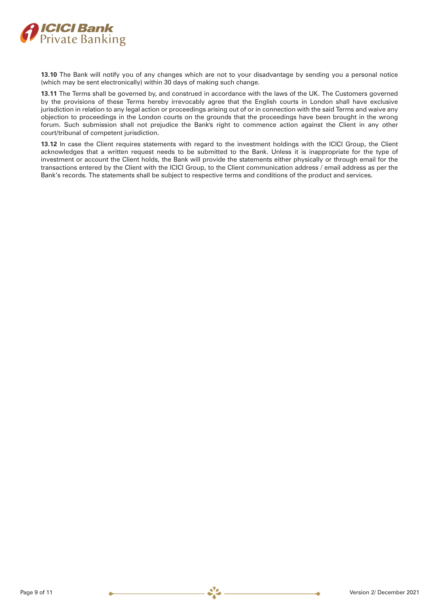

**13.10** The Bank will notify you of any changes which are not to your disadvantage by sending you a personal notice (which may be sent electronically) within 30 days of making such change.

**13.11** The Terms shall be governed by, and construed in accordance with the laws of the UK. The Customers governed by the provisions of these Terms hereby irrevocably agree that the English courts in London shall have exclusive jurisdiction in relation to any legal action or proceedings arising out of or in connection with the said Terms and waive any objection to proceedings in the London courts on the grounds that the proceedings have been brought in the wrong forum. Such submission shall not prejudice the Bank's right to commence action against the Client in any other court/tribunal of competent jurisdiction.

**13.12** In case the Client requires statements with regard to the investment holdings with the ICICI Group, the Client acknowledges that a written request needs to be submitted to the Bank. Unless it is inappropriate for the type of investment or account the Client holds, the Bank will provide the statements either physically or through email for the transactions entered by the Client with the ICICI Group, to the Client communication address / email address as per the Bank's records. The statements shall be subject to respective terms and conditions of the product and services.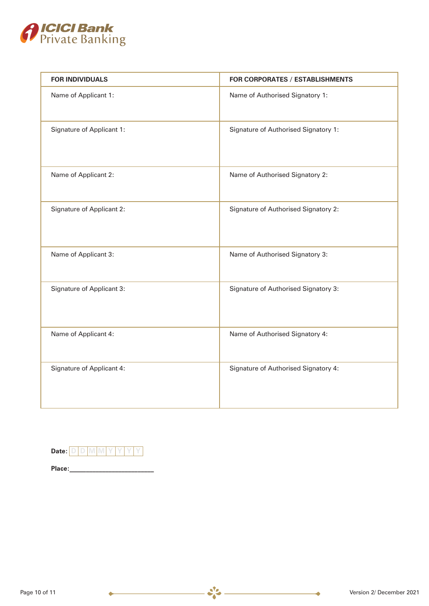

| <b>FOR INDIVIDUALS</b>    | FOR CORPORATES / ESTABLISHMENTS      |  |  |  |
|---------------------------|--------------------------------------|--|--|--|
| Name of Applicant 1:      | Name of Authorised Signatory 1:      |  |  |  |
| Signature of Applicant 1: | Signature of Authorised Signatory 1: |  |  |  |
| Name of Applicant 2:      | Name of Authorised Signatory 2:      |  |  |  |
| Signature of Applicant 2: | Signature of Authorised Signatory 2: |  |  |  |
| Name of Applicant 3:      | Name of Authorised Signatory 3:      |  |  |  |
| Signature of Applicant 3: | Signature of Authorised Signatory 3: |  |  |  |
| Name of Applicant 4:      | Name of Authorised Signatory 4:      |  |  |  |
| Signature of Applicant 4: | Signature of Authorised Signatory 4: |  |  |  |

 $-25 -$ 

| Date:  |  |  |  |  |
|--------|--|--|--|--|
| Place: |  |  |  |  |

۰